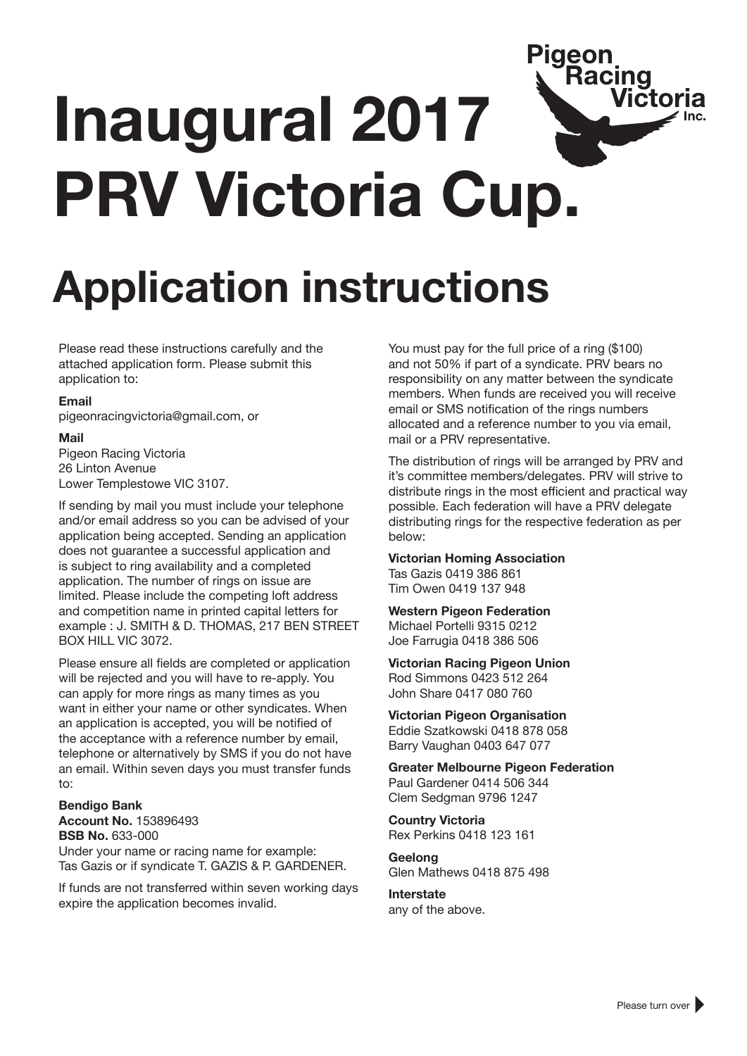### Piaeon **Racing Victoria Inaugural 2017 PRV Victoria Cup.**

# **Application instructions**

Please read these instructions carefully and the attached application form. Please submit this application to:

#### **Email**

pigeonracingvictoria@gmail.com, or

#### **Mail**

Pigeon Racing Victoria 26 Linton Avenue Lower Templestowe VIC 3107.

If sending by mail you must include your telephone and/or email address so you can be advised of your application being accepted. Sending an application does not guarantee a successful application and is subject to ring availability and a completed application. The number of rings on issue are limited. Please include the competing loft address and competition name in printed capital letters for example : J. SMITH & D. THOMAS, 217 BEN STREET BOX HILL VIC 3072.

Please ensure all fields are completed or application will be rejected and you will have to re-apply. You can apply for more rings as many times as you want in either your name or other syndicates. When an application is accepted, you will be notified of the acceptance with a reference number by email, telephone or alternatively by SMS if you do not have an email. Within seven days you must transfer funds to:

#### **Bendigo Bank Account No.** 153896493 **BSB No.** 633-000 Under your name or racing name for example: Tas Gazis or if syndicate T. GAZIS & P. GARDENER.

If funds are not transferred within seven working days expire the application becomes invalid.

You must pay for the full price of a ring (\$100) and not 50% if part of a syndicate. PRV bears no responsibility on any matter between the syndicate members. When funds are received you will receive email or SMS notification of the rings numbers allocated and a reference number to you via email, mail or a PRV representative.

The distribution of rings will be arranged by PRV and it's committee members/delegates. PRV will strive to distribute rings in the most efficient and practical way possible. Each federation will have a PRV delegate distributing rings for the respective federation as per below:

**Victorian Homing Association** Tas Gazis 0419 386 861 Tim Owen 0419 137 948

**Western Pigeon Federation** Michael Portelli 9315 0212

Joe Farrugia 0418 386 506

**Victorian Racing Pigeon Union** Rod Simmons 0423 512 264 John Share 0417 080 760

**Victorian Pigeon Organisation** Eddie Szatkowski 0418 878 058

Barry Vaughan 0403 647 077

**Greater Melbourne Pigeon Federation** Paul Gardener 0414 506 344 Clem Sedgman 9796 1247

**Country Victoria** Rex Perkins 0418 123 161

**Geelong** Glen Mathews 0418 875 498

**Interstate**

any of the above.